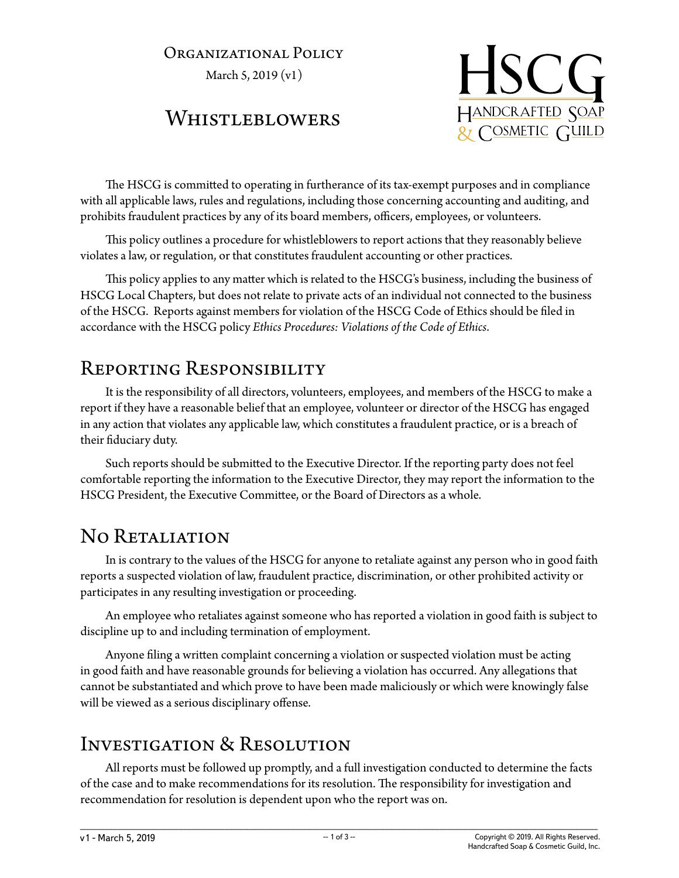#### Organizational Policy

March 5, 2019 (v1)

### Whistleblowers



The HSCG is committed to operating in furtherance of its tax-exempt purposes and in compliance with all applicable laws, rules and regulations, including those concerning accounting and auditing, and prohibits fraudulent practices by any of its board members, officers, employees, or volunteers.

This policy outlines a procedure for whistleblowers to report actions that they reasonably believe violates a law, or regulation, or that constitutes fraudulent accounting or other practices.

This policy applies to any matter which is related to the HSCG's business, including the business of HSCG Local Chapters, but does not relate to private acts of an individual not connected to the business of the HSCG. Reports against members for violation of the HSCG Code of Ethics should be filed in accordance with the HSCG policy *Ethics Procedures: Violations of the Code of Ethics*.

### Reporting Responsibility

It is the responsibility of all directors, volunteers, employees, and members of the HSCG to make a report if they have a reasonable belief that an employee, volunteer or director of the HSCG has engaged in any action that violates any applicable law, which constitutes a fraudulent practice, or is a breach of their fiduciary duty.

Such reports should be submitted to the Executive Director. If the reporting party does not feel comfortable reporting the information to the Executive Director, they may report the information to the HSCG President, the Executive Committee, or the Board of Directors as a whole.

## No RETALIATION

In is contrary to the values of the HSCG for anyone to retaliate against any person who in good faith reports a suspected violation of law, fraudulent practice, discrimination, or other prohibited activity or participates in any resulting investigation or proceeding.

An employee who retaliates against someone who has reported a violation in good faith is subject to discipline up to and including termination of employment.

Anyone filing a written complaint concerning a violation or suspected violation must be acting in good faith and have reasonable grounds for believing a violation has occurred. Any allegations that cannot be substantiated and which prove to have been made maliciously or which were knowingly false will be viewed as a serious disciplinary offense.

## Investigation & Resolution

All reports must be followed up promptly, and a full investigation conducted to determine the facts of the case and to make recommendations for its resolution. The responsibility for investigation and recommendation for resolution is dependent upon who the report was on.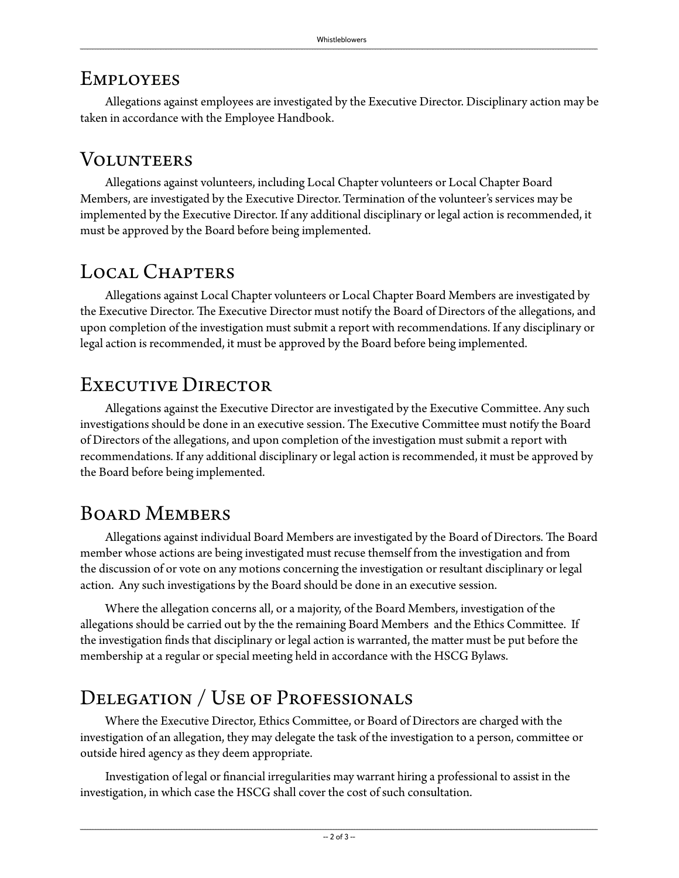### **EMPLOYEES**

Allegations against employees are investigated by the Executive Director. Disciplinary action may be taken in accordance with the Employee Handbook.

## **VOLUNTEERS**

Allegations against volunteers, including Local Chapter volunteers or Local Chapter Board Members, are investigated by the Executive Director. Termination of the volunteer's services may be implemented by the Executive Director. If any additional disciplinary or legal action is recommended, it must be approved by the Board before being implemented.

# Local Chapters

Allegations against Local Chapter volunteers or Local Chapter Board Members are investigated by the Executive Director. The Executive Director must notify the Board of Directors of the allegations, and upon completion of the investigation must submit a report with recommendations. If any disciplinary or legal action is recommended, it must be approved by the Board before being implemented.

## EXECUTIVE DIRECTOR

Allegations against the Executive Director are investigated by the Executive Committee. Any such investigations should be done in an executive session. The Executive Committee must notify the Board of Directors of the allegations, and upon completion of the investigation must submit a report with recommendations. If any additional disciplinary or legal action is recommended, it must be approved by the Board before being implemented.

## Board Members

Allegations against individual Board Members are investigated by the Board of Directors. The Board member whose actions are being investigated must recuse themself from the investigation and from the discussion of or vote on any motions concerning the investigation or resultant disciplinary or legal action. Any such investigations by the Board should be done in an executive session.

Where the allegation concerns all, or a majority, of the Board Members, investigation of the allegations should be carried out by the the remaining Board Members and the Ethics Committee. If the investigation finds that disciplinary or legal action is warranted, the matter must be put before the membership at a regular or special meeting held in accordance with the HSCG Bylaws.

## Delegation / Use of Professionals

Where the Executive Director, Ethics Committee, or Board of Directors are charged with the investigation of an allegation, they may delegate the task of the investigation to a person, committee or outside hired agency as they deem appropriate.

Investigation of legal or financial irregularities may warrant hiring a professional to assist in the investigation, in which case the HSCG shall cover the cost of such consultation.